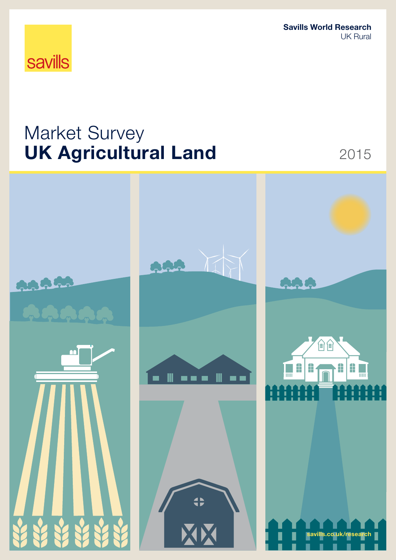Savills World Research UK Rural

# **savills**

# Market Survey UK Agricultural Land 2015

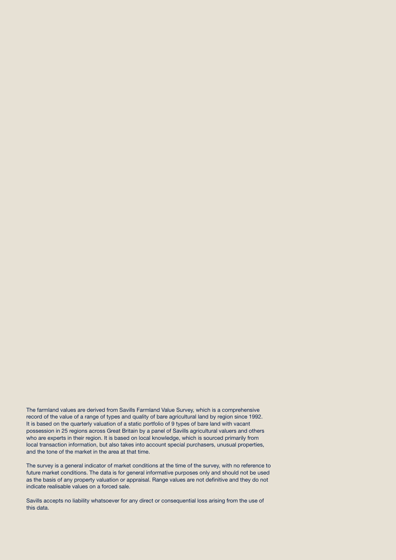The farmland values are derived from Savills Farmland Value Survey, which is a comprehensive record of the value of a range of types and quality of bare agricultural land by region since 1992. It is based on the quarterly valuation of a static portfolio of 9 types of bare land with vacant possession in 25 regions across Great Britain by a panel of Savills agricultural valuers and others who are experts in their region. It is based on local knowledge, which is sourced primarily from local transaction information, but also takes into account special purchasers, unusual properties, and the tone of the market in the area at that time.

The survey is a general indicator of market conditions at the time of the survey, with no reference to future market conditions. The data is for general informative purposes only and should not be used as the basis of any property valuation or appraisal. Range values are not definitive and they do not indicate realisable values on a forced sale.

Savills accepts no liability whatsoever for any direct or consequential loss arising from the use of this data.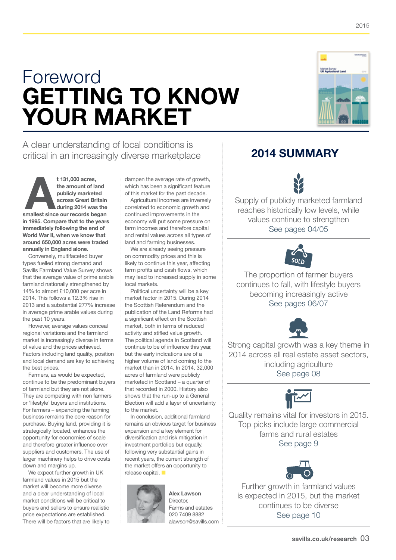2015

# Foreword GETTING TO know your market



A clear understanding of local conditions is critical in an increasingly diverse marketplace

t 131,000 acres,<br>
the amount of land<br>
publicly marketed<br>
across Great Britain<br>
during 2014 was the<br>
smallest since our records began the amount of land publicly marketed across Great Britain during 2014 was the in 1995. Compare that to the years immediately following the end of World War II, when we know that around 650,000 acres were traded annually in England alone.

Conversely, multifaceted buyer types fuelled strong demand and Savills Farmland Value Survey shows that the average value of prime arable farmland nationally strengthened by 14% to almost £10,000 per acre in 2014. This follows a 12.3% rise in 2013 and a substantial 277% increase in average prime arable values during the past 10 years.

However, average values conceal regional variations and the farmland market is increasingly diverse in terms of value and the prices achieved. Factors including land quality, position and local demand are key to achieving the best prices.

Farmers, as would be expected, continue to be the predominant buyers of farmland but they are not alone. They are competing with non farmers or 'lifestyle' buyers and institutions. For farmers – expanding the farming business remains the core reason for purchase. Buying land, providing it is strategically located, enhances the opportunity for economies of scale and therefore greater influence over suppliers and customers. The use of larger machinery helps to drive costs down and margins up.

We expect further growth in UK farmland values in 2015 but the market will become more diverse and a clear understanding of local market conditions will be critical to buyers and sellers to ensure realistic price expectations are established. There will be factors that are likely to dampen the average rate of growth, which has been a significant feature of this market for the past decade.

Agricultural incomes are inversely correlated to economic growth and continued improvements in the economy will put some pressure on farm incomes and therefore capital and rental values across all types of land and farming businesses.

We are already seeing pressure on commodity prices and this is likely to continue this year, affecting farm profits and cash flows, which may lead to increased supply in some local markets.

Political uncertainty will be a key market factor in 2015. During 2014 the Scottish Referendum and the publication of the Land Reforms had a significant effect on the Scottish market, both in terms of reduced activity and stifled value growth. The political agenda in Scotland will continue to be of influence this year, but the early indications are of a higher volume of land coming to the market than in 2014. In 2014, 32,000 acres of farmland were publicly marketed in Scotland – a quarter of that recorded in 2000. History also shows that the run-up to a General Election will add a layer of uncertainty to the market.

In conclusion, additional farmland remains an obvious target for business expansion and a key element for diversification and risk mitigation in investment portfolios but equally, following very substantial gains in recent years, the current strength of the market offers an opportunity to release capital.  $\blacksquare$ 



Alex Lawson Director, Farms and estates 020 7409 8882 alawson@savills.com

# 2014 summary



Supply of publicly marketed farmland reaches historically low levels, while values continue to strengthen See pages 04/05



The proportion of farmer buyers continues to fall, with lifestyle buyers becoming increasingly active See pages 06/07



Strong capital growth was a key theme in 2014 across all real estate asset sectors, including agriculture See page 08



Quality remains vital for investors in 2015. Top picks include large commercial farms and rural estates See page 9



Further growth in farmland values is expected in 2015, but the market continues to be diverse See page 10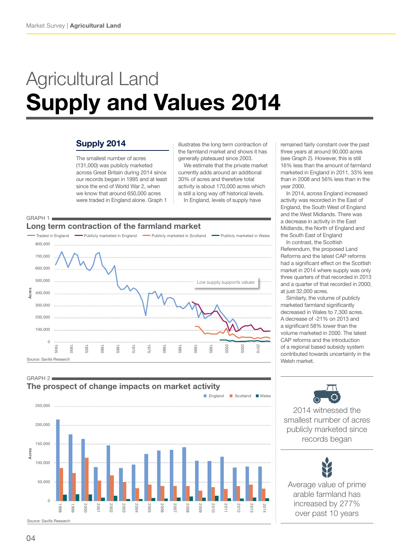$GRAPH 1$ 

800,000 700,000 600,000 500,000 400,000 300,000 200,000 100,000

cres

Source: Savills Research

0

# Agricultural Land Supply and Values 2014

Traded in England **Publicly marketed in England Publicly marketed in Scotland Publicly marketed in Wales** 

## Supply 2014

The smallest number of acres (131,000) was publicly marketed across Great Britain during 2014 since our records began in 1995 and at least since the end of World War 2, when we know that around 650,000 acres were traded in England alone. Graph 1

Long term contraction of the farmland market

illustrates the long term contraction of the farmland market and shows it has generally plateaued since 2003.

We estimate that the private market currently adds around an additional 30% of acres and therefore total activity is about 170,000 acres which is still a long way off historical levels. In England, levels of supply have

Low supply supports values

remained fairly constant over the past three years at around 90,000 acres (see Graph 2). However, this is still 16% less than the amount of farmland marketed in England in 2011, 33% less than in 2008 and 56% less than in the year 2000.

In 2014, across England increased activity was recorded in the East of England, the South West of England and the West Midlands. There was a decrease in activity in the East Midlands, the North of England and the South East of England

In contrast, the Scottish Referendum, the proposed Land Reforms and the latest CAP reforms had a significant effect on the Scottish market in 2014 where supply was only three quarters of that recorded in 2013 and a quarter of that recorded in 2000; at just 32,000 acres.

Similarly, the volume of publicly marketed farmland significantly decreased in Wales to 7,300 acres. A decrease of -21% on 2013 and a significant 58% lower than the volume marketed in 2000. The latest CAP reforms and the introduction of a regional based subsidy system contributed towards uncertainty in the Welsh market.

Acres Acres ■ England ■ Scotland ■ Wales 250,000 200,000 150,000 kcres 100,000 50,000 0 2012 2000 2001 2002 2003 2004 2005 2006 2007 2008 2009 2010 2011 2013 2014 1998 1999 Source: Savills Research

1945 1950 1955 1960 1965 1970 1975 1980 1985 1990 1995 2000 2005 2010

### $GRAPH 2 =$ The prospect of change impacts on market activity

2014 witnessed the

smallest number of acres publicly marketed since records began

Average value of prime arable farmland has increased by 277% over past 10 years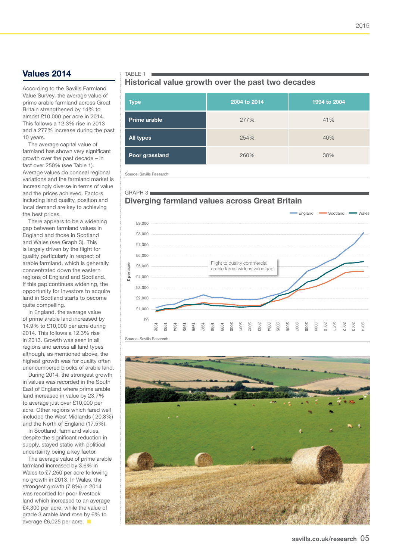## Values 2014

According to the Savills Farmland Value Survey, the average value of prime arable farmland across Great Britain strengthened by 14% to almost £10,000 per acre in 2014. This follows a 12.3% rise in 2013 and a 277% increase during the past 10 years.

The average capital value of farmland has shown very significant growth over the past decade – in fact over 250% (see Table 1). Average values do conceal regional variations and the farmland market is increasingly diverse in terms of value and the prices achieved. Factors including land quality, position and local demand are key to achieving the best prices.

There appears to be a widening gap between farmland values in England and those in Scotland and Wales (see Graph 3). This is largely driven by the flight for quality particularly in respect of arable farmland, which is generally concentrated down the eastern regions of England and Scotland. If this gap continues widening, the opportunity for investors to acquire land in Scotland starts to become quite compelling.

In England, the average value of prime arable land increased by 14.9% to £10,000 per acre during 2014. This follows a 12.3% rise in 2013. Growth was seen in all regions and across all land types although, as mentioned above, the highest growth was for quality often unencumbered blocks of arable land.

During 2014, the strongest growth in values was recorded in the South East of England where prime arable land increased in value by 23.7% to average just over £10,000 per acre. Other regions which fared well included the West Midlands ( 20.8%) and the North of England (17.5%).

In Scotland, farmland values, despite the significant reduction in supply, stayed static with political uncertainty being a key factor.

The average value of prime arable farmland increased by 3.6% in Wales to £7,250 per acre following no growth in 2013. In Wales, the strongest growth (7.8%) in 2014 was recorded for poor livestock land which increased to an average £4,300 per acre, while the value of grade 3 arable land rose by 6% to average £6,025 per acre.  $\blacksquare$ 

### TABLE 1  $\blacksquare$

### Historical value growth over the past two decades

| <b>Type</b>         | 2004 to 2014 | 1994 to 2004 |
|---------------------|--------------|--------------|
| <b>Prime arable</b> | 277%         | 41%          |
| <b>All types</b>    | 254%         | 40%          |
| Poor grassland      | 260%         | 38%          |

Source: Savills Research

 $GRAPH3$ 

## Diverging farmland values across Great Britain



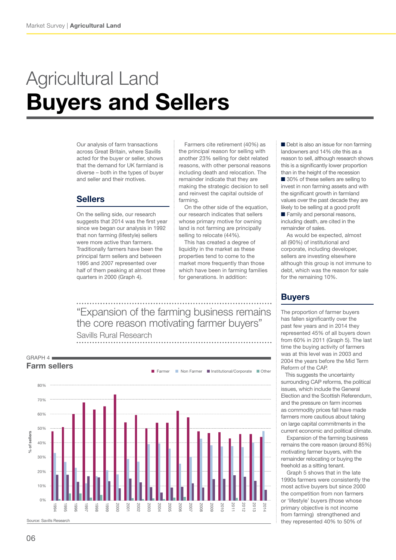# Agricultural Land Buyers and Sellers

Our analysis of farm transactions across Great Britain, where Savills acted for the buyer or seller, shows that the demand for UK farmland is diverse – both in the types of buyer and seller and their motives.

## Sellers

On the selling side, our research suggests that 2014 was the first year since we began our analysis in 1992 that non farming (lifestyle) sellers were more active than farmers. Traditionally farmers have been the principal farm sellers and between 1995 and 2007 represented over half of them peaking at almost three quarters in 2000 (Graph 4).

Farmers cite retirement (40%) as the principal reason for selling with another 23% selling for debt related reasons, with other personal reasons including death and relocation. The remainder indicate that they are making the strategic decision to sell and reinvest the capital outside of farming.

On the other side of the equation, our research indicates that sellers whose primary motive for owning land is not farming are principally selling to relocate (44%).

This has created a degree of liquidity in the market as these properties tend to come to the market more frequently than those which have been in farming families for generations. In addition:

"Expansion of the farming business remains the core reason motivating farmer buyers"

Savills Rural Research



■ Debt is also an issue for non farming landowners and 14% cite this as a reason to sell, although research shows this is a significantly lower proportion than in the height of the recession

■ 30% of these sellers are selling to invest in non farming assets and with the significant growth in farmland values over the past decade they are likely to be selling at a good profit

■ Family and personal reasons, including death, are cited in the remainder of sales.

As would be expected, almost all (90%) of institutional and corporate, including developer, sellers are investing elsewhere although this group is not immune to debt, which was the reason for sale for the remaining 10%.

# **Buyers**

The proportion of farmer buyers has fallen significantly over the past few years and in 2014 they represented 45% of all buyers down from 60% in 2011 (Graph 5). The last time the buying activity of farmers was at this level was in 2003 and 2004 the years before the Mid Term Reform of the CAP.

 This suggests the uncertainty surrounding CAP reforms, the political issues, which include the General Election and the Scottish Referendum, and the pressure on farm incomes as commodity prices fall have made farmers more cautious about taking on large capital commitments in the current economic and political climate.

Expansion of the farming business remains the core reason (around 85%) motivating farmer buyers, with the remainder relocating or buying the freehold as a sitting tenant.

Graph 5 shows that in the late 1990s farmers were consistently the most active buyers but since 2000 the competition from non farmers or 'lifestyle' buyers (those whose primary objective is not income from farming) strengthened and they represented 40% to 50% of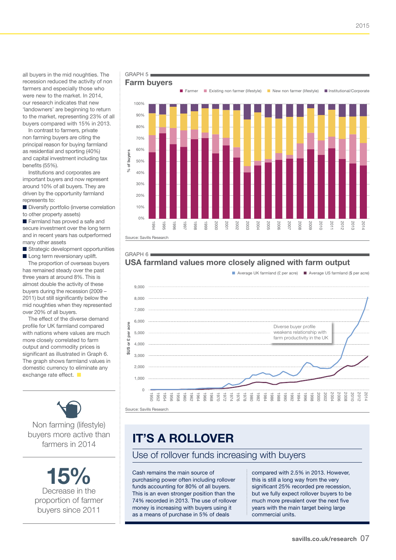all buyers in the mid noughties. The recession reduced the activity of non farmers and especially those who were new to the market. In 2014, our research indicates that new 'landowners' are beginning to return to the market, representing 23% of all buyers compared with 15% in 2013.

In contrast to farmers, private non farming buyers are citing the principal reason for buying farmland as residential and sporting (40%) and capital investment including tax benefits (55%).

Institutions and corporates are important buyers and now represent around 10% of all buyers. They are driven by the opportunity farmland represents to:

■ Diversify portfolio (inverse correlation

to other property assets)

■ Farmland has proved a safe and secure investment over the long term and in recent years has outperformed many other assets

■ Strategic development opportunities ■ Long term reversionary uplift.

The proportion of overseas buyers has remained steady over the past three years at around 8%. This is almost double the activity of these buyers during the recession (2009 – 2011) but still significantly below the mid noughties when they represented over 20% of all buyers.

The effect of the diverse demand profile for UK farmland compared with nations where values are much more closely correlated to farm output and commodity prices is significant as illustrated in Graph 6. The graph shows farmland values in domestic currency to eliminate any exchange rate effect.  $\blacksquare$ 



Non farming (lifestyle) buyers more active than farmers in 2014

Decrease in the 15% proportion of farmer buyers since 2011





# USA farmland values more closely aligned with farm output

■ Average UK farmland (£ per acre) ■ Average US farmland (\$ per acre)



# it's a rollover

Use of rollover funds increasing with buyers

Cash remains the main source of purchasing power often including rollover funds accounting for 80% of all buyers. This is an even stronger position than the 74% recorded in 2013. The use of rollover money is increasing with buyers using it as a means of purchase in 5% of deals

compared with 2.5% in 2013. However, this is still a long way from the very significant 25% recorded pre recession, but we fully expect rollover buyers to be much more prevalent over the next five years with the main target being large commercial units.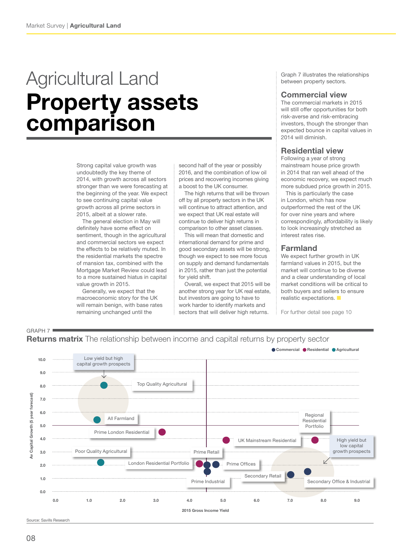# Agricultural Land Property assets comparison

Strong capital value growth was undoubtedly the key theme of 2014, with growth across all sectors stronger than we were forecasting at the beginning of the year. We expect to see continuing capital value growth across all prime sectors in 2015, albeit at a slower rate.

The general election in May will definitely have some effect on sentiment, though in the agricultural and commercial sectors we expect the effects to be relatively muted. In the residential markets the spectre of mansion tax, combined with the Mortgage Market Review could lead to a more sustained hiatus in capital value growth in 2015.

Generally, we expect that the macroeconomic story for the UK will remain benign, with base rates remaining unchanged until the

second half of the year or possibly 2016, and the combination of low oil prices and recovering incomes giving a boost to the UK consumer.

The high returns that will be thrown off by all property sectors in the UK will continue to attract attention, and we expect that UK real estate will continue to deliver high returns in comparison to other asset classes.

This will mean that domestic and international demand for prime and good secondary assets will be strong, though we expect to see more focus on supply and demand fundamentals in 2015, rather than just the potential for yield shift.

Overall, we expect that 2015 will be another strong year for UK real estate, but investors are going to have to work harder to identify markets and sectors that will deliver high returns.

Graph 7 illustrates the relationships between property sectors.

### Commercial view

The commercial markets in 2015 will still offer opportunities for both risk-averse and risk-embracing investors, though the stronger than expected bounce in capital values in 2014 will diminish.

### Residential view

Following a year of strong mainstream house price growth in 2014 that ran well ahead of the economic recovery, we expect much more subdued price growth in 2015.

 This is particularly the case in London, which has now outperformed the rest of the UK for over nine years and where correspondingly, affordability is likely to look increasingly stretched as interest rates rise.

### Farmland

We expect further growth in UK farmland values in 2015, but the market will continue to be diverse and a clear understanding of local market conditions will be critical to both buyers and sellers to ensure realistic expectations.

For further detail see page 10





Source: Savills Research

GRAPH 7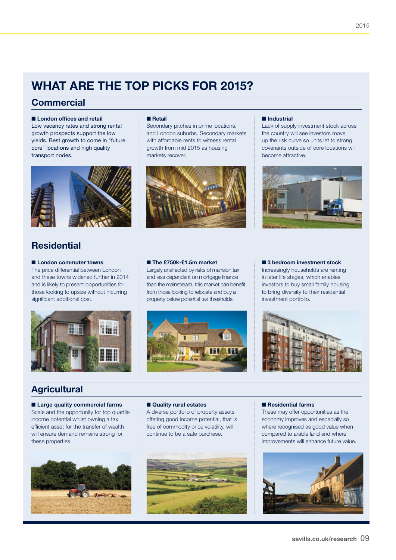# WHAT ARE THE TOP PICKS FOR 2015?

■ Retail

markets recover.

## **Commercial**

### ■ London offices and retail

Low vacancy rates and strong rental growth prospects support the low yields. Best growth to come in "future core" locations and high quality transport nodes.



# **Residential**

#### ■ London commuter towns

The price differential between London and these towns widened further in 2014 and is likely to present opportunities for those looking to upsize without incurring significant additional cost.



### ■ The £750k-£1.5m market

Largely unaffected by risks of mansion tax and less dependent on mortgage finance than the mainstream, this market can benefit from those looking to relocate and buy a property below potential tax thresholds.

Secondary pitches in prime locations, and London suburbs. Secondary markets with affordable rents to witness rental growth from mid 2015 as housing



### ■ Industrial

Lack of supply investment stock across the country will see investors move up the risk curve so units let to strong covenants outside of core locations will become attractive.



### ■ 3 bedroom investment stock

Increasingly households are renting in later life stages, which enables investors to buy small family housing to bring diversity to their residential investment portfolio.



## **Agricultural**

■ Large quality commercial farms Scale and the opportunity for top quartile income potential whilst owning a tax efficient asset for the transfer of wealth will ensure demand remains strong for these properties.



#### ■ Quality rural estates

A diverse portfolio of property assets offering good income potential, that is free of commodity price volatility, will continue to be a safe purchase.



#### ■ Residential farms

These may offer opportunities as the economy improves and especially so where recognised as good value when compared to arable land and where improvements will enhance future value.

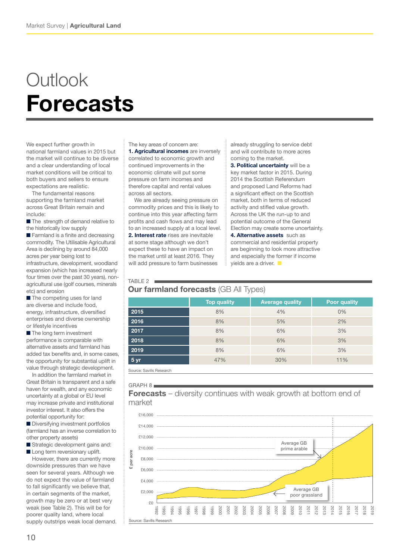# **Outlook** Forecasts

We expect further growth in national farmland values in 2015 but the market will continue to be diverse and a clear understanding of local market conditions will be critical to both buyers and sellers to ensure expectations are realistic.

The fundamental reasons supporting the farmland market across Great Britain remain and include:

■ The strength of demand relative to the historically low supply

■ Farmland is a finite and decreasing commodity. The Utilisable Agricultural Area is declining by around 84,000 acres per year being lost to infrastructure, development, woodland expansion (which has increased nearly four times over the past 30 years), nonagricultural use (golf courses, minerals etc) and erosion

■ The competing uses for land are diverse and include food, energy, infrastructure, diversified enterprises and diverse ownership or lifestyle incentives

■ The long term investment performance is comparable with alternative assets and farmland has added tax benefits and, in some cases, the opportunity for substantial uplift in value through strategic development.

In addition the farmland market in Great Britain is transparent and a safe haven for wealth, and any economic uncertainty at a global or EU level may increase private and institutional investor interest. It also offers the potential opportunity for:

■ Diversifying investment portfolios (farmland has an inverse correlation to other property assets)

■ Strategic development gains and: ■ Long term reversionary uplift.

However, there are currently more downside pressures than we have seen for several years. Although we do not expect the value of farmland to fall significantly we believe that, in certain segments of the market, growth may be zero or at best very weak (see Table 2). This will be for poorer quality land, where local supply outstrips weak local demand. The key areas of concern are: 1. Agricultural incomes are inversely correlated to economic growth and continued improvements in the economic climate will put some pressure on farm incomes and therefore capital and rental values across all sectors.

We are already seeing pressure on commodity prices and this is likely to continue into this year affecting farm profits and cash flows and may lead to an increased supply at a local level. 2. Interest rate rises are inevitable at some stage although we don't expect these to have an impact on the market until at least 2016. They will add pressure to farm businesses

already struggling to service debt and will contribute to more acres coming to the market.

3. Political uncertainty will be a key market factor in 2015. During 2014 the Scottish Referendum and proposed Land Reforms had a significant effect on the Scottish market, both in terms of reduced activity and stifled value growth. Across the UK the run-up to and potential outcome of the General Election may create some uncertainty.

4. Alternative assets such as commercial and residential property are beginning to look more attractive and especially the former if income yields are a driver.  $\blacksquare$ 

### TABLE  $2$

## **Our farmland forecasts (GB All Types)**

|      | <b>Top quality</b> | <b>Average quality</b> | <b>Poor quality</b> |
|------|--------------------|------------------------|---------------------|
| 2015 | 8%                 | 4%                     | 0%                  |
| 2016 | 8%                 | 5%                     | 2%                  |
| 2017 | 8%                 | 6%                     | 3%                  |
| 2018 | 8%                 | 6%                     | 3%                  |
| 2019 | 8%                 | 6%                     | 3%                  |
| 5 yr | 47%                | 30%                    | 11%                 |

Source: Savills Research

### $GRAPH 8$

**Forecasts** – diversity continues with weak growth at bottom end of market

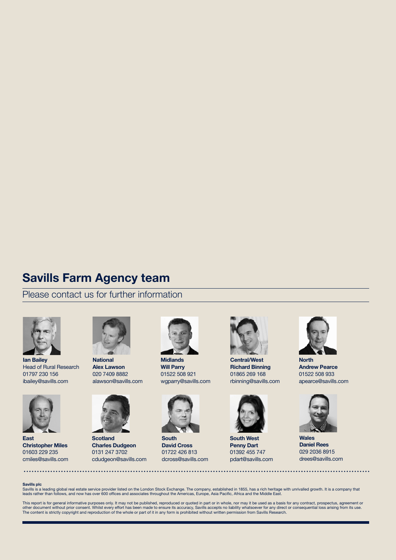# Savills Farm Agency team

Please contact us for further information



Ian Bailey Head of Rural Research 01797 230 156 ibailey@savills.com



National Alex Lawson 020 7409 8882 alawson@savills.com



**Scotland** Charles Dudgeon 0131 247 3702 cdudgeon@savills.com



Midlands Will Parry 01522 508 921 wgparry@savills.com



South David Cross 01722 426 813 dcross@savills.com



Central/West Richard Binning 01865 269 168 rbinning@savills.com



South West Penny Dart 01392 455 747 pdart@savills.com



North Andrew Pearce 01522 508 933 apearce@savills.com



**Wales** Daniel Rees 029 2036 8915 drees@savills.com

#### Savills plc

East

Christopher Miles 01603 229 235 cmiles@savills.com

Savills is a leading global real estate service provider listed on the London Stock Exchange. The company, established in 1855, has a rich heritage with unrivalled growth. It is a company that<br>leads rather than follows, an

This report is for general informative purposes only. It may not be published, reproduced or quoted in part or in whole, nor may it be used as a basis for any contract, prospectus, agreement or<br>other document without prior